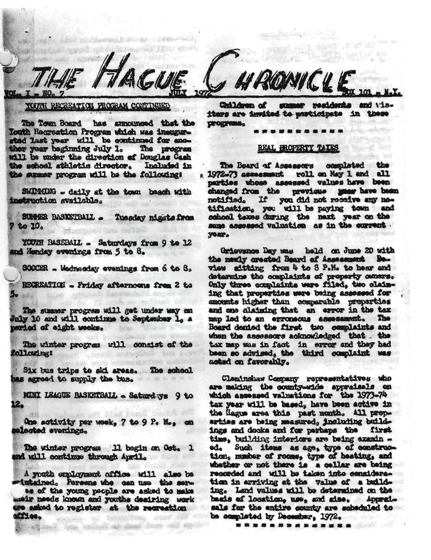RECREATION PROGRAM CONTINUED

Color

The Town Board has announced that the Touth Recreation Program which was ineughrstad last year will be continued for another year beginning July 1. The program will be under the direction of Douglas Cash the school sthletic director. Included in the summer program will be the following:

SWIPPING - daily at the town beach with instruction available.

SIRGER RASKSTRALL Tuesday nights from  $7*10<sub>0</sub>$ 

YOUTH BASEBALL . Saturdays from 9 to 12 and Monday evenings from 5 to 8.

SOCCER - Wednesday evenings from 6 to 8.

RECREATION - Friday afternoons from 2 to

The summer program will get under way on Fuly 10 and will continue to September 1. A period of eight weeks.

The winter program will consist of the following!

Six bus trips to sid areas. The school las agreed to supply the bus.

MINI LEAGUE BASKETBALL - Saturdays 9 to 12.

One activity per week, 7 to 9 P. M., on mlacted evenings.

The winter program 11 begin on Oct. 1 and will continue through April.

A youth employment office will also be metatained. Persons who can use the ser-

as of the young people are asked to make weir needs known and youths desiring work gre asked to register at the regrestion miles.

Could Hawle (

※ 10 33

Children of summer residents and visiters are invited to marticipate in these **DPOGPARS.** 

## REAL HROPERTY TAXES

The Board of Assessors oceplated the , 1972-73 assessment roll on May 1 and all narties whose assessed values have been changed from the previous year have been notified. If you did not receive any no-tification, you will be paying town and school taxes during the next year on the same assessed valuation as in the current. year.

Grievance Day was held on June 20 with the nexly created Board of Assessment Beview sitting from 4 to 8 P.M. to hear and determine the complaints of property consrs. Only three compleints were filed, two claiming that properties were being assessed for amounts higher than comparable properties and one alaining that an error in the tax map lod to an erroneous assessment. The Board denied the first two complaints and when the assessors acknowledged that. the tax map was in fact in error and they had been so advised, the third complaint was acted on favorably.

Cleminshaw Company representatives who are making the county-wide appraisals on which assessed valuations for the 1973-74 tex year will be based, have been active in the Hague area this past month. All properties are being measured, including buildings and dooks and for perhaps the first time, building interiors are being examin -Such items as age, type of construc- $^{6d}$ tion, musher of rooms, type of heating, and whether or not there is a cellar are being recorded and will be taken into consideration in arriving at the value of a building. Land values will be determined on the basis of location, use, and size. Apprelsals for the entire county are scheduled to be completed by December, 1972.

..............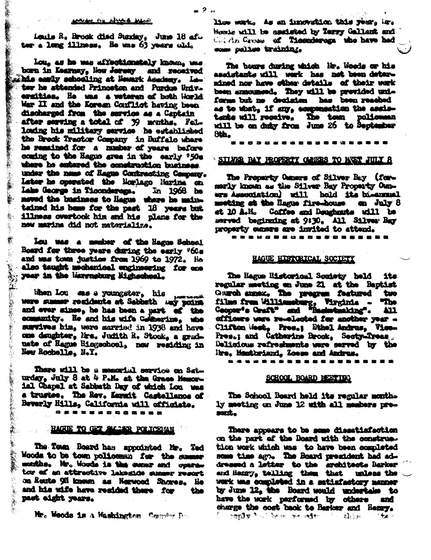## man as which we a

Louis R. Brook died Sunday, June 18 af. ter a long illness. He was 63 years old.

Lou. as he was affectionately known, uns born in Kearnsy, Now Jersey and received whis easily schooling at Newark Acedeuy. Leter he sttended Princeton and Purdue Univ. ersities. He was a weteran of both World War II and the Korean Conflict having been. discharged from the service as a Captain after serving a total of 39 menths. Fellondng his military service he established the Brook Tractor Company in Buffalo where he remained for a number of years before coming to the Hague area in the early '50s where he entered the construction business. under the name of Hague Contracting Company. Later he operated the Nortago Narina on Lake George in Ticonderega.  $\ln 1968$  he noved the business to Hague where he maintained his home for the past 18 years but illness overtook him and his plans for the new marina did not materialize.

 $\frac{1}{2}$ 

藝。

繫

 $\tilde{\psi}$ 

 $\mathbf{r}_i$ 

(東京の) (大学)

虦

Lou was a member of the Hagos School Board for three years during the early '60s and mas town justice from 1969 to 1972. He also taught mechanical engineering for one year in the Marrasburg Migheeheel.

When Lou ans a youngster, his **LABB SOUND** were summer residents at Sabbath may point and ever since, he has been a part of the community. He and his wife Goldnerine, who survives him, were married in 1938 and have one deughter, Mrs. Judith R. Stock, a graduate of Hague Hisgschool, now residing in New Rochelle, N.Y.

Thore will be a memorial service on Saturday, July 8 at 4 Pall. at the Grace Memorial Chapel at Sabbath Day of which Lou was a trustee. The Rev. Kermit Castellanos of Beverly Hills, California will officiate.

**\*\*\*\*\*\*\*\*\*\*\*\*** 

# HAGUE TO GET SELLER POLICEMAN

The Town Board has appointed Mr. Ted Wooda to be town policeman for the summer months. Mr. Woods is the senar and operator of an attractive laborate summer resort on Route 921 known as Nerwood Shores. He and his wife have resided there for the past eight years.

Mr. Woods is a Washington County Des

lise werk, As an innovation this year, hr. Hoste will be assisted by Terry Gallant and Calletin Gross of Ticonderoga who have had som palies training.

The bours during which Hr. Woods or his aseistants will werk has not been determined nor have other details of their work been announced. They will be previded uniforms but no declaime has been reached as to what, if any, compensation the assistents will receive, The town policeman will be on duty from June 26 to September Sth.

## SILVER BAY PROPERTY CLANSES TO MEET JULY 8

The Property Osners of Silver Bay (formerly known as the Silver Bay Property Owners Association) will hold its bi-annual meeting at the Hague fire-house on July 8 at 10 A.M. Coffee and Deuchnuts will be served beginning at 9:30. All Silver Bay property cummers are invited to attend.

\*\*\*\*\*\*\*\*\*\*\*\*\*\*\*\*\*\*\*

## HAGUE HISTORICAL SOCIETY

The Hague Historical Society held its regular meeting on June 21 at the Baptist Gurch annex. The pregram featured taxo films from Williamsburg, Virginia -<br>Ceopse's Graft" and "Basketmaking". "The 411 afficurs ware re-olected for another year -Clifton West, Pres.; Bthel Andrus, Vice-Pres.; and Catherine Brook, Secty-Treas Delicious refrestments were served by the Mrs. Manthriand, Zoese and Andrus.

. . . . . . . **. . . . . . . . . . .** 

# SCHOOL BOARD BEETING

The School Board held its regular months ly meeting on June 12 with all members presant.

There appears to be some dissatiafaction on the part of the Board with the construetion work which was to have been completed some time ago. The Board president had addressed a latter to the architects Barker and Henry, telling them that unless the work was completed in a satisfactory manner by June 12, the Board would undertake to have the work performed by others and charge the cost back to Barker and Henry. **Popsty トット Perint Served やくどく 結合の**  $^{\circ}$  .  $\sim$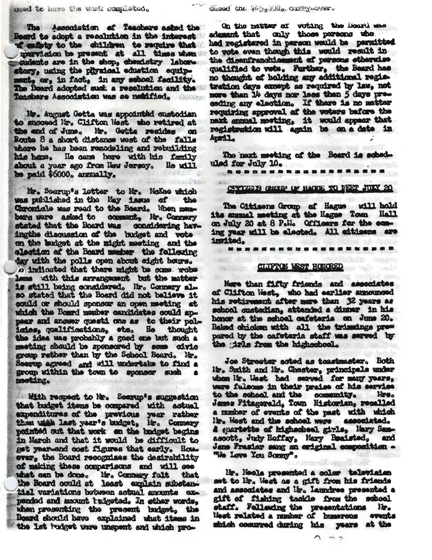The Association of Teachers asked the Beard to adopt a resolution in the interest I misty to the children to require that mervision be present at all times when cudents are in the shop, chemistry laboratory, using the pitysical eduction equipment, or, in fact, in any school facility. The Board adorted suck a resolution and the Taachers Association was so notified.

Mr. August Getta was appointed custodian to succeed Mr. Clifton West who retired at the end of June. Mr. Gotte resides on Route 8 a short distance west of the falls where he has been remodeling and rebuilding his home. He came here with his family about a year ago from New Jersey. No will be paid \$6000. annually.

Mr. Seerup's letter to Mr. McKee which was published in the May issue of the Chronicle was read to the Beard. When members were asked to comment. Hr. Company stated that the Board was considering havingthe discussion of the budget and vote on the langet at the might meeting and the election of the Board member the following day with the polls open about eight hours. le indicated that there might be some robe lons with this arrangement but the matter is still being considered. Hr. Connery also stated that the Board did not believe it could or should sponsor an open meching at which the Board member candidates could appear and answer questi one as to their palinies, qualifications, etc. He thought the idea was probably a good one but such a meeting should be sponsored by some civic Seerns agreed and will undertake to find a group within the town to sponsor such mosting.

With respect to Mr. Sourm's suggestion that budget items be compared with actual expenditures of the previous year rather podntod out that work on the budget begins in March and that it would be difficult to get year-and cost figures that early. Home ever, the Board recognizes the desirability of making these comparisons and will see what can be done. He. Connexy falt that the Board could st least explain substant tial variations between actual amounts expended and mount tudgetad. In ether words. shen presenting the present budget, the Board should have explained what items in the lat budget were unspent and which pro-

On the matter of voting the loord was admant that only those persons who had registered in person would be permitted to vote even though this would result in the disenfranchismant of persons ethernise qualified to vets. Further, the Beard has no thought of holding any additional registration days except as required by law, not more than 14 days nor loss than 5 days preceding any election. If there is no matter requiring approval of the voters before the maxt samual meeting, it would appear that nt sizh a mo ed ningu Ifly midseizher April.

The next meeting of the Board is scheduled for July 10.

*<u>ASKOSRAWERSERAN</u>* 

# CITIZER CHIEF OF HACK TO FEET JULY 20

The Citigens Group of Hagus will hold its smual meeting at the Hagge Town Hall on July 20 at 8 P.H. Officers for the coming year will be elected. All eitisens are inuited.

#### . . . . . . .  $\frac{1}{2} \left( \frac{1}{2} \right) \left( \frac{1}{2} \right) \left( \frac{1}{2} \right) \left( \frac{1}{2} \right) \left( \frac{1}{2} \right)$

## CLIFTON WEST HONORED

Here than fifty friends and associates of Clifton West, who had earlier announced<br>his retirement after nore than 32 years as school custodian, attended a dinner in his honor at the school cafeteria on June 20. Baked chioken with all the trimmings prepared by the cafeteria staff was served by the tris from the higheshool.

Joe Streeter acted as toustruster. Both Mr. Smith and Mr. Chester, principals under when its lest had served for many years, ware fulsome in their praise of his service to the school and the community. New.<br>James Fitsgerald, Town Historian, recalled a masher of events of the past with which In. West and the school were associated. & quertette of highesheel girls, Hary Samascott, Judy Hoffay, Mary Braisted, and Jane Frasier same an original composition -"We Love You Somey".

Mr. Meels presented a color television set to Mr. West as a gift from his friends and associates and liv. Laundree presented a gift of fishing tackle from the school staff. Fallowing the presentations He. West related a musher of humerous events shich commed during his years at the

 $\bigcap$   $\bigcup$   $\bigcup$